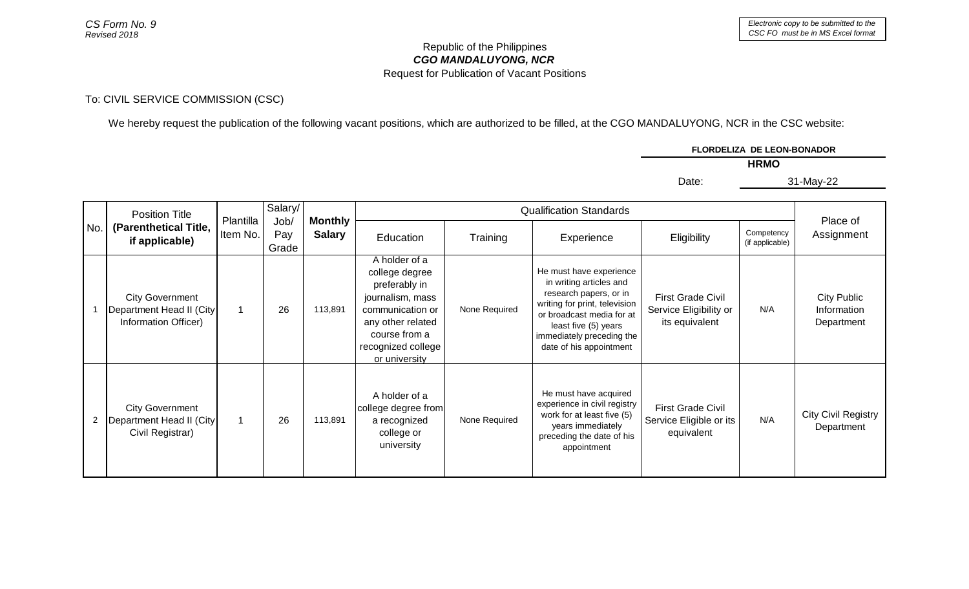## *CGO MANDALUYONG, NCR* Republic of the Philippines Request for Publication of Vacant Positions

## To: CIVIL SERVICE COMMISSION (CSC)

We hereby request the publication of the following vacant positions, which are authorized to be filled, at the CGO MANDALUYONG, NCR in the CSC website:

|         |                                                                                                                           | FLORDELIZA DE LEON-BONADOR |             |  |
|---------|---------------------------------------------------------------------------------------------------------------------------|----------------------------|-------------|--|
|         |                                                                                                                           |                            | <b>HRMO</b> |  |
|         |                                                                                                                           | Date:                      | 31-May-22   |  |
|         |                                                                                                                           |                            |             |  |
| Salary/ | $\bigcap_{n\geq 0} \mathbb{P}(U_n) = U_n$ and $\bigcap_{n\geq 0} \mathbb{P}(U_n)$ and $\bigcap_{n\geq 0} \mathbb{P}(U_n)$ |                            |             |  |

| No.            | <b>Position Title</b><br>(Parenthetical Title,<br>if applicable)           | Plantilla<br>Item No. | Salary/<br>Job/<br>Pay<br>Grade | <b>Monthly</b><br><b>Salary</b> |                                                                                                                                                                       |               |                                                                                                                                                                                                                            |                                                                      |                               |                                          |
|----------------|----------------------------------------------------------------------------|-----------------------|---------------------------------|---------------------------------|-----------------------------------------------------------------------------------------------------------------------------------------------------------------------|---------------|----------------------------------------------------------------------------------------------------------------------------------------------------------------------------------------------------------------------------|----------------------------------------------------------------------|-------------------------------|------------------------------------------|
|                |                                                                            |                       |                                 |                                 | Education                                                                                                                                                             | Training      | Experience                                                                                                                                                                                                                 | Eligibility                                                          | Competency<br>(if applicable) | Place of<br>Assignment                   |
|                | <b>City Government</b><br>Department Head II (City<br>Information Officer) | 1                     | 26                              | 113,891                         | A holder of a<br>college degree<br>preferably in<br>journalism, mass<br>communication or<br>any other related<br>course from a<br>recognized college<br>or university | None Required | He must have experience<br>in writing articles and<br>research papers, or in<br>writing for print, television<br>or broadcast media for at<br>least five (5) years<br>immediately preceding the<br>date of his appointment | <b>First Grade Civil</b><br>Service Eligibility or<br>its equivalent | N/A                           | City Public<br>Information<br>Department |
| $\overline{c}$ | <b>City Government</b><br>Department Head II (City<br>Civil Registrar)     |                       | 26                              | 113,891                         | A holder of a<br>college degree from<br>a recognized<br>college or<br>university                                                                                      | None Required | He must have acquired<br>experience in civil registry<br>work for at least five (5)<br>years immediately<br>preceding the date of his<br>appointment                                                                       | <b>First Grade Civil</b><br>Service Eligible or its<br>equivalent    | N/A                           | <b>City Civil Registry</b><br>Department |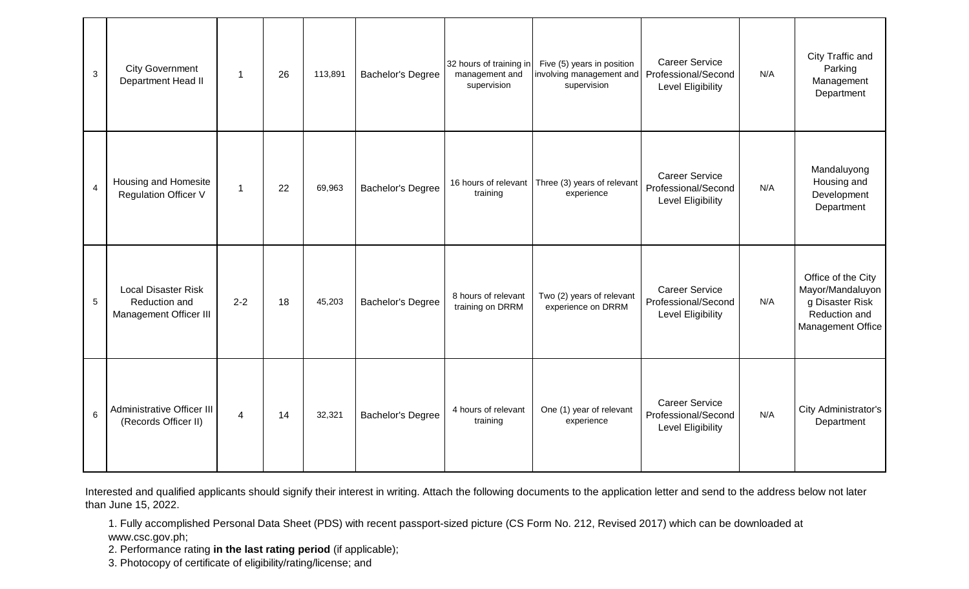| $\mathbf{3}$   | <b>City Government</b><br>Department Head II                          | $\overline{1}$ | 26 | 113,891 | Bachelor's Degree        | 32 hours of training in<br>management and<br>supervision | Five (5) years in position<br>involving management and<br>supervision | <b>Career Service</b><br>Professional/Second<br><b>Level Eligibility</b> | N/A | City Traffic and<br>Parking<br>Management<br>Department                                                |
|----------------|-----------------------------------------------------------------------|----------------|----|---------|--------------------------|----------------------------------------------------------|-----------------------------------------------------------------------|--------------------------------------------------------------------------|-----|--------------------------------------------------------------------------------------------------------|
| $\overline{4}$ | Housing and Homesite<br><b>Regulation Officer V</b>                   | $\mathbf{1}$   | 22 | 69,963  | <b>Bachelor's Degree</b> | 16 hours of relevant<br>training                         | Three (3) years of relevant<br>experience                             | <b>Career Service</b><br>Professional/Second<br><b>Level Eligibility</b> | N/A | Mandaluyong<br>Housing and<br>Development<br>Department                                                |
| 5              | <b>Local Disaster Risk</b><br>Reduction and<br>Management Officer III | $2 - 2$        | 18 | 45,203  | <b>Bachelor's Degree</b> | 8 hours of relevant<br>training on DRRM                  | Two (2) years of relevant<br>experience on DRRM                       | <b>Career Service</b><br>Professional/Second<br><b>Level Eligibility</b> | N/A | Office of the City<br>Mayor/Mandaluyon<br>g Disaster Risk<br>Reduction and<br><b>Management Office</b> |
| 6              | Administrative Officer III<br>(Records Officer II)                    | 4              | 14 | 32,321  | <b>Bachelor's Degree</b> | 4 hours of relevant<br>training                          | One (1) year of relevant<br>experience                                | <b>Career Service</b><br>Professional/Second<br>Level Eligibility        | N/A | City Administrator's<br>Department                                                                     |

Interested and qualified applicants should signify their interest in writing. Attach the following documents to the application letter and send to the address below not later than June 15, 2022.

1. Fully accomplished Personal Data Sheet (PDS) with recent passport-sized picture (CS Form No. 212, Revised 2017) which can be downloaded at www.csc.gov.ph;

2. Performance rating **in the last rating period** (if applicable);

3. Photocopy of certificate of eligibility/rating/license; and